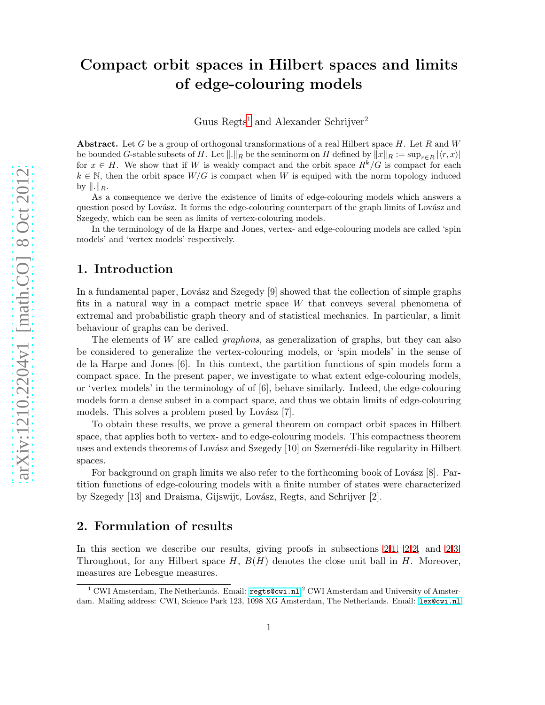# Compact orbit spaces in Hilbert spaces and limits of edge-colouring models

Guus Regts<sup>[1](#page-0-0)</sup> and Alexander Schrijver<sup>2</sup>

**Abstract.** Let G be a group of orthogonal transformations of a real Hilbert space H. Let R and W be bounded G-stable subsets of H. Let  $\|\cdot\|_R$  be the seminorm on H defined by  $\|x\|_R := \sup_{r \in R} |\langle r, x \rangle|$ for  $x \in H$ . We show that if W is weakly compact and the orbit space  $R^k/G$  is compact for each  $k \in \mathbb{N}$ , then the orbit space  $W/G$  is compact when W is equiped with the norm topology induced by  $\|.\|_R$ .

As a consequence we derive the existence of limits of edge-colouring models which answers a question posed by Lovász. It forms the edge-colouring counterpart of the graph limits of Lovász and Szegedy, which can be seen as limits of vertex-colouring models.

In the terminology of de la Harpe and Jones, vertex- and edge-colouring models are called 'spin models' and 'vertex models' respectively.

## 1. Introduction

In a fundamental paper, Lovász and Szegedy  $[9]$  showed that the collection of simple graphs fits in a natural way in a compact metric space W that conveys several phenomena of extremal and probabilistic graph theory and of statistical mechanics. In particular, a limit behaviour of graphs can be derived.

The elements of W are called *graphons*, as generalization of graphs, but they can also be considered to generalize the vertex-colouring models, or 'spin models' in the sense of de la Harpe and Jones [6]. In this context, the partition functions of spin models form a compact space. In the present paper, we investigate to what extent edge-colouring models, or 'vertex models' in the terminology of of [6], behave similarly. Indeed, the edge-colouring models form a dense subset in a compact space, and thus we obtain limits of edge-colouring models. This solves a problem posed by Lovász [7].

To obtain these results, we prove a general theorem on compact orbit spaces in Hilbert space, that applies both to vertex- and to edge-colouring models. This compactness theorem uses and extends theorems of Lovász and Szegedy [10] on Szemerédi-like regularity in Hilbert spaces.

For background on graph limits we also refer to the forthcoming book of Lovász  $[8]$ . Partition functions of edge-colouring models with a finite number of states were characterized by Szegedy [13] and Draisma, Gijswijt, Lovász, Regts, and Schrijver [2].

## <span id="page-0-1"></span>2. Formulation of results

In this section we describe our results, giving proofs in subsections [2.](#page-0-1)[1,](#page-3-0) [2](#page-0-1)[.2,](#page-5-0) and [2.](#page-0-1)[3.](#page-7-0) Throughout, for any Hilbert space  $H, B(H)$  denotes the close unit ball in  $H$ . Moreover, measures are Lebesgue measures.

<span id="page-0-0"></span><sup>&</sup>lt;sup>1</sup> CWI Amsterdam, The Netherlands. Email:  $\texttt{regts@cwi.nl}$  $\texttt{regts@cwi.nl}$  $\texttt{regts@cwi.nl}$  <sup>2</sup> CWI Amsterdam and University of Amsterdam. Mailing address: CWI, Science Park 123, 1098 XG Amsterdam, The Netherlands. Email: <lex@cwi.nl>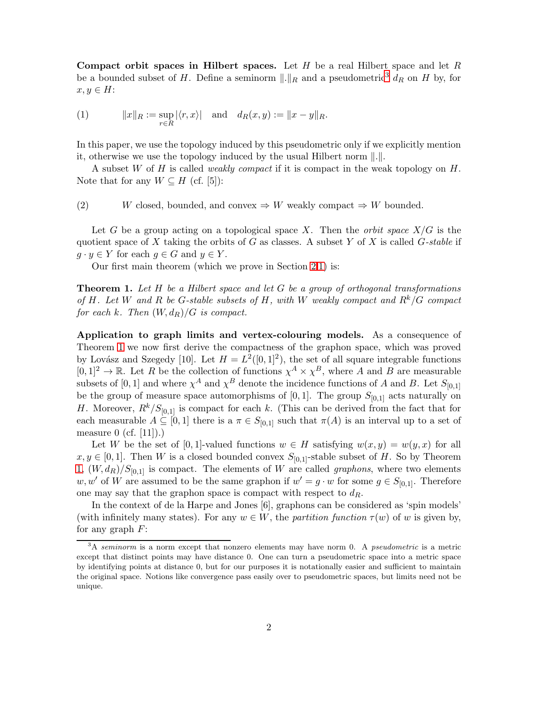Compact orbit spaces in Hilbert spaces. Let  $H$  be a real Hilbert space and let  $R$ be a bounded subset of H. Define a seminorm  $\|.\|_R$  and a pseudometric<sup>[3](#page-1-0)</sup> d<sub>R</sub> on H by, for  $x, y \in H$ :

(1) 
$$
||x||_R := \sup_{r \in R} |\langle r, x \rangle|
$$
 and  $d_R(x, y) := ||x - y||_R$ .

In this paper, we use the topology induced by this pseudometric only if we explicitly mention it, otherwise we use the topology induced by the usual Hilbert norm  $\|\cdot\|$ .

A subset W of H is called *weakly compact* if it is compact in the weak topology on H. Note that for any  $W \subseteq H$  (cf. [5]):

(2) W closed, bounded, and convex  $\Rightarrow$  W weakly compact  $\Rightarrow$  W bounded.

Let G be a group acting on a topological space X. Then the *orbit space* X/G is the quotient space of X taking the orbits of G as classes. A subset Y of X is called G*-stable* if  $g \cdot y \in Y$  for each  $g \in G$  and  $y \in Y$ .

<span id="page-1-1"></span>Our first main theorem (which we prove in Section [2](#page-0-1)[.1\)](#page-3-0) is:

Theorem 1. *Let* H *be a Hilbert space and let* G *be a group of orthogonal transformations of* H*. Let* W *and* R *be* G*-stable subsets of* H*, with* W *weakly compact and* Rk/G *compact for each* k. Then  $(W, d_R)/G$  *is compact.* 

Application to graph limits and vertex-colouring models. As a consequence of Theorem [1](#page-1-1) we now first derive the compactness of the graphon space, which was proved by Lovász and Szegedy [10]. Let  $H = L^2([0,1]^2)$ , the set of all square integrable functions  $[0,1]^2 \to \mathbb{R}$ . Let R be the collection of functions  $\chi^A \times \chi^B$ , where A and B are measurable subsets of [0, 1] and where  $\chi^A$  and  $\chi^B$  denote the incidence functions of A and B. Let  $S_{[0,1]}$ be the group of measure space automorphisms of [0, 1]. The group  $S_{[0,1]}$  acts naturally on H. Moreover,  $R^k/S_{[0,1]}$  is compact for each k. (This can be derived from the fact that for each measurable  $A \subseteq [0,1]$  there is a  $\pi \in S_{[0,1]}$  such that  $\pi(A)$  is an interval up to a set of measure 0 (cf.  $[11]$ ).)

Let W be the set of [0,1]-valued functions  $w \in H$  satisfying  $w(x, y) = w(y, x)$  for all  $x, y \in [0, 1]$ . Then W is a closed bounded convex  $S_{[0,1]}$ -stable subset of H. So by Theorem [1,](#page-1-1)  $(W, d_R)/S_{[0,1]}$  is compact. The elements of W are called *graphons*, where two elements w, w' of W are assumed to be the same graphon if  $w' = g \cdot w$  for some  $g \in S_{[0,1]}$ . Therefore one may say that the graphon space is compact with respect to  $d_R$ .

In the context of de la Harpe and Jones [6], graphons can be considered as 'spin models' (with infinitely many states). For any  $w \in W$ , the *partition function*  $\tau(w)$  of w is given by, for any graph  $F$ :

<span id="page-1-0"></span> $3A$  seminorm is a norm except that nonzero elements may have norm 0. A pseudometric is a metric except that distinct points may have distance 0. One can turn a pseudometric space into a metric space by identifying points at distance 0, but for our purposes it is notationally easier and sufficient to maintain the original space. Notions like convergence pass easily over to pseudometric spaces, but limits need not be unique.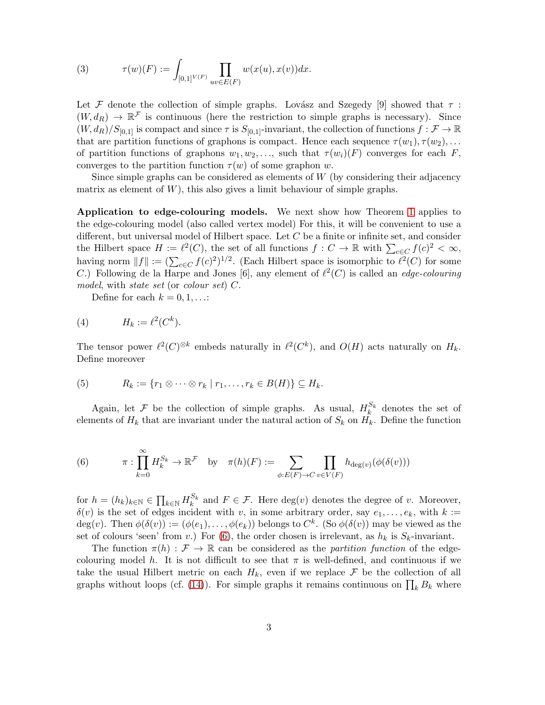(3) 
$$
\tau(w)(F) := \int_{[0,1]^{V(F)}} \prod_{uv \in E(F)} w(x(u), x(v)) dx.
$$

Let F denote the collection of simple graphs. Lovász and Szegedy [9] showed that  $\tau$ :  $(W, d_R) \to \mathbb{R}^{\mathcal{F}}$  is continuous (here the restriction to simple graphs is necessary). Since  $(W, d_R)/S_{[0,1]}$  is compact and since  $\tau$  is  $S_{[0,1]}$ -invariant, the collection of functions  $f : \mathcal{F} \to \mathbb{R}$ that are partition functions of graphons is compact. Hence each sequence  $\tau(w_1), \tau(w_2), \ldots$ of partition functions of graphons  $w_1, w_2, \ldots$ , such that  $\tau(w_i)(F)$  converges for each F, converges to the partition function  $\tau(w)$  of some graphon w.

Since simple graphs can be considered as elements of  $W$  (by considering their adjacency matrix as element of  $W$ ), this also gives a limit behaviour of simple graphs.

Application to edge-colouring models. We next show how Theorem [1](#page-1-1) applies to the edge-colouring model (also called vertex model) For this, it will be convenient to use a different, but universal model of Hilbert space. Let C be a finite or infinite set, and consider the Hilbert space  $H := \ell^2(C)$ , the set of all functions  $f : C \to \mathbb{R}$  with  $\sum_{c \in C} f(c)^2 < \infty$ , having norm  $||f|| := (\sum_{c \in C} f(c)^2)^{1/2}$ . (Each Hilbert space is isomorphic to  $\ell^2(C)$  for some C.) Following de la Harpe and Jones [6], any element of  $\ell^2(C)$  is called an *edge-colouring model*, with *state set* (or *colour set*) C.

Define for each  $k = 0, 1, \ldots$ :

$$
(4) \tH_k := \ell^2(C^k).
$$

The tensor power  $\ell^2(C)^{\otimes k}$  embeds naturally in  $\ell^2(C^k)$ , and  $O(H)$  acts naturally on  $H_k$ . Define moreover

(5) 
$$
R_k := \{r_1 \otimes \cdots \otimes r_k \mid r_1, \ldots, r_k \in B(H)\} \subseteq H_k.
$$

Again, let  $\mathcal F$  be the collection of simple graphs. As usual,  $H_k^{S_k}$  $\kappa_k^{S_k}$  denotes the set of elements of  $H_k$  that are invariant under the natural action of  $S_k$  on  $H_k$ . Define the function

<span id="page-2-0"></span>(6) 
$$
\pi: \prod_{k=0}^{\infty} H_k^{S_k} \to \mathbb{R}^{\mathcal{F}} \text{ by } \pi(h)(F) := \sum_{\phi: E(F) \to C} \prod_{v \in V(F)} h_{\deg(v)}(\phi(\delta(v)))
$$

for  $h = (h_k)_{k \in \mathbb{N}} \in \prod_{k \in \mathbb{N}} H_k^{S_k}$ <sup> $S_k$ </sup> and  $F \in \mathcal{F}$ . Here  $\deg(v)$  denotes the degree of v. Moreover,  $\delta(v)$  is the set of edges incident with v, in some arbitrary order, say  $e_1, \ldots, e_k$ , with  $k :=$ deg(v). Then  $\phi(\delta(v)) := (\phi(e_1), \dots, \phi(e_k))$  belongs to  $C^k$ . (So  $\phi(\delta(v))$  may be viewed as the set of colours 'seen' from v.) For [\(6\)](#page-2-0), the order chosen is irrelevant, as  $h_k$  is  $S_k$ -invariant.

The function  $\pi(h) : \mathcal{F} \to \mathbb{R}$  can be considered as the *partition function* of the edgecolouring model h. It is not difficult to see that  $\pi$  is well-defined, and continuous if we take the usual Hilbert metric on each  $H_k$ , even if we replace  $\mathcal F$  be the collection of all graphs without loops (cf. [\(14\)](#page-5-1)). For simple graphs it remains continuous on  $\prod_k B_k$  where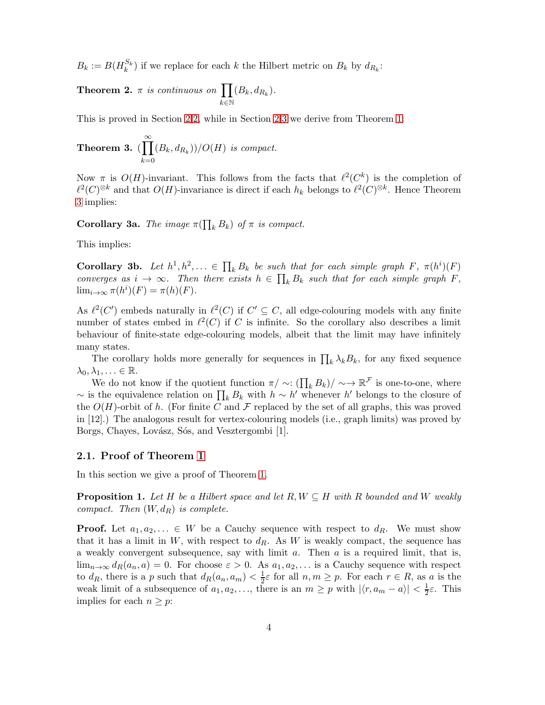<span id="page-3-3"></span> $B_k := B(H_k^{S_k})$  $\binom{S_k}{k}$  if we replace for each k the Hilbert metric on  $B_k$  by  $d_{R_k}$ :

**Theorem 2.**  $\pi$  *is continuous on*  $\prod$ k∈N  $(B_k, d_{R_k}).$ 

<span id="page-3-1"></span>This is proved in Section [2.](#page-0-1)[2,](#page-5-0) while in Section [2.](#page-0-1)[3](#page-7-0) we derive from Theorem [1:](#page-1-1)

**Theorem 3.** 
$$
(\prod_{k=0}^{\infty} (B_k, d_{R_k}))/O(H)
$$
 is compact.

Now  $\pi$  is  $O(H)$ -invariant. This follows from the facts that  $\ell^2(C^k)$  is the completion of  $\ell^2(C)^{\otimes k}$  and that  $O(H)$ -invariance is direct if each  $h_k$  belongs to  $\ell^2(C)^{\otimes k}$ . Hence Theorem [3](#page-3-1) implies:

**Corollary 3a.** *The image*  $\pi(\prod_k B_k)$  *of*  $\pi$  *is compact.* 

This implies:

**Corollary 3b.** Let  $h^1, h^2, \ldots \in \prod_k B_k$  be such that for each simple graph  $F$ ,  $\pi(h^i)(F)$ *converges as*  $i \to \infty$ . Then there exists  $h \in \prod_k B_k$  such that for each simple graph  $F$ ,  $\lim_{i\to\infty} \pi(h^i)(F) = \pi(h)(F)$ .

As  $\ell^2(C')$  embeds naturally in  $\ell^2(C)$  if  $C' \subseteq C$ , all edge-colouring models with any finite number of states embed in  $\ell^2(C)$  if C is infinite. So the corollary also describes a limit behaviour of finite-state edge-colouring models, albeit that the limit may have infinitely many states.

The corollary holds more generally for sequences in  $\prod_k \lambda_k B_k$ , for any fixed sequence  $\lambda_0, \lambda_1, \ldots \in \mathbb{R}$ .

We do not know if the quotient function  $\pi / \sim (\prod_k B_k) / \sim \rightarrow \mathbb{R}^{\mathcal{F}}$  is one-to-one, where ~ is the equivalence relation on  $\prod_k B_k$  with  $h \sim h'$  whenever h' belongs to the closure of the  $O(H)$ -orbit of h. (For finite C and F replaced by the set of all graphs, this was proved in [12].) The analogous result for vertex-colouring models (i.e., graph limits) was proved by Borgs, Chayes, Lovász, Sós, and Vesztergombi [1].

#### <span id="page-3-0"></span>2.1. Proof of Theorem [1](#page-1-1)

<span id="page-3-2"></span>In this section we give a proof of Theorem [1.](#page-1-1)

**Proposition 1.** Let H be a Hilbert space and let  $R, W \subseteq H$  with R bounded and W weakly *compact.* Then  $(W, d_R)$  *is complete.* 

**Proof.** Let  $a_1, a_2, \ldots \in W$  be a Cauchy sequence with respect to  $d_R$ . We must show that it has a limit in  $W$ , with respect to  $d_R$ . As W is weakly compact, the sequence has a weakly convergent subsequence, say with limit  $a$ . Then  $a$  is a required limit, that is,  $\lim_{n\to\infty} d_R(a_n, a) = 0$ . For choose  $\varepsilon > 0$ . As  $a_1, a_2, \ldots$  is a Cauchy sequence with respect to  $d_R$ , there is a p such that  $d_R(a_n, a_m) < \frac{1}{2}\varepsilon$  for all  $n, m \geq p$ . For each  $r \in R$ , as a is the weak limit of a subsequence of  $a_1, a_2, \ldots$ , there is an  $m \geq p$  with  $|\langle r, a_m - a \rangle| < \frac{1}{2}\varepsilon$ . This implies for each  $n \geq p$ :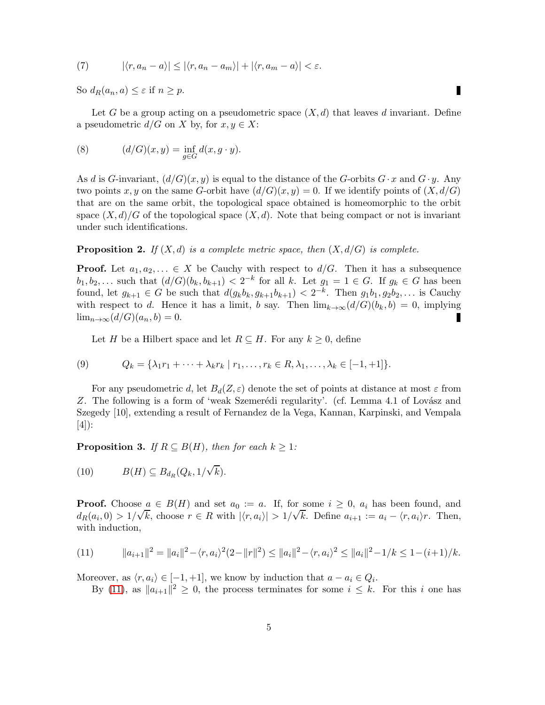(7) 
$$
|\langle r, a_n - a \rangle| \leq |\langle r, a_n - a_m \rangle| + |\langle r, a_m - a \rangle| < \varepsilon.
$$

So  $d_R(a_n, a) \leq \varepsilon$  if  $n \geq p$ .

Let G be a group acting on a pseudometric space  $(X, d)$  that leaves d invariant. Define a pseudometric  $d/G$  on X by, for  $x, y \in X$ :

П

(8) 
$$
(d/G)(x,y) = \inf_{g \in G} d(x,g \cdot y).
$$

As d is G-invariant,  $(d/G)(x, y)$  is equal to the distance of the G-orbits  $G \cdot x$  and  $G \cdot y$ . Any two points x, y on the same G-orbit have  $(d/G)(x, y) = 0$ . If we identify points of  $(X, d/G)$ that are on the same orbit, the topological space obtained is homeomorphic to the orbit space  $(X, d)/G$  of the topological space  $(X, d)$ . Note that being compact or not is invariant under such identifications.

<span id="page-4-1"></span>**Proposition 2.** *If*  $(X, d)$  *is a complete metric space, then*  $(X, d/G)$  *is complete.* 

**Proof.** Let  $a_1, a_2, \ldots \in X$  be Cauchy with respect to  $d/G$ . Then it has a subsequence  $b_1, b_2, \ldots$  such that  $(d/G)(b_k, b_{k+1}) < 2^{-k}$  for all k. Let  $g_1 = 1 \in G$ . If  $g_k \in G$  has been found, let  $g_{k+1} \in G$  be such that  $d(g_k b_k, g_{k+1} b_{k+1}) < 2^{-k}$ . Then  $g_1 b_1, g_2 b_2, \ldots$  is Cauchy with respect to d. Hence it has a limit, b say. Then  $\lim_{k\to\infty} (d/G)(b_k, b) = 0$ , implying  $\lim_{n\to\infty}(d/G)(a_n,b)=0.$ П

Let H be a Hilbert space and let  $R \subseteq H$ . For any  $k \geq 0$ , define

(9) 
$$
Q_k = \{ \lambda_1 r_1 + \dots + \lambda_k r_k \mid r_1, \dots, r_k \in R, \lambda_1, \dots, \lambda_k \in [-1, +1] \}.
$$

For any pseudometric d, let  $B_d(Z,\varepsilon)$  denote the set of points at distance at most  $\varepsilon$  from Z. The following is a form of 'weak Szemerédi regularity'. (cf. Lemma 4.1 of Lovász and Szegedy [10], extending a result of Fernandez de la Vega, Kannan, Karpinski, and Vempala [4]):

<span id="page-4-2"></span>**Proposition 3.** *If*  $R \subseteq B(H)$ *, then for each*  $k \geq 1$ *:* 

(10) 
$$
B(H) \subseteq B_{d_R}(Q_k, 1/\sqrt{k}).
$$

**Proof.** Choose  $a \in B(H)$  and set  $a_0 := a$ . If, for some  $i \geq 0$ ,  $a_i$  has been found, and  $d_R(a_i, 0) > 1/\sqrt{k}$ , choose  $r \in R$  with  $|\langle r, a_i \rangle| > 1/\sqrt{k}$ . Define  $a_{i+1} := a_i - \langle r, a_i \rangle r$ . Then, with induction,

<span id="page-4-0"></span>
$$
(11) \t ||a_{i+1}||^2 = ||a_i||^2 - \langle r, a_i \rangle^2 (2 - ||r||^2) \le ||a_i||^2 - \langle r, a_i \rangle^2 \le ||a_i||^2 - 1/k \le 1 - (i+1)/k.
$$

Moreover, as  $\langle r, a_i \rangle \in [-1, +1]$ , we know by induction that  $a - a_i \in Q_i$ .

By [\(11\)](#page-4-0), as  $||a_{i+1}||^2 \geq 0$ , the process terminates for some  $i \leq k$ . For this i one has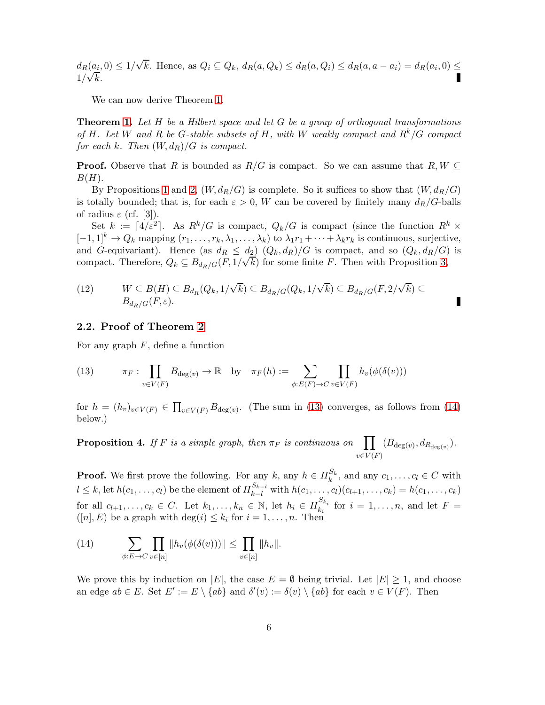$d_R(a_i, 0) \leq 1/\sqrt{k}$ . Hence, as  $Q_i \subseteq Q_k$ ,  $d_R(a, Q_k) \leq d_R(a, Q_i) \leq d_R(a, a - a_i) = d_R(a_i, 0) \leq$  $\frac{1}{\sqrt{k}}$ .

We can now derive Theorem [1.](#page-1-1)

Theorem [1.](#page-1-1) *Let* H *be a Hilbert space and let* G *be a group of orthogonal transformations of* H*. Let* W *and* R *be* G*-stable subsets of* H*, with* W *weakly compact and* Rk/G *compact for each* k. Then  $(W, d_R)/G$  *is compact.* 

**Proof.** Observe that R is bounded as  $R/G$  is compact. So we can assume that  $R, W \subseteq$  $B(H)$ .

By Propositions [1](#page-3-2) and [2,](#page-4-1)  $(W, d_R/G)$  is complete. So it suffices to show that  $(W, d_R/G)$ is totally bounded; that is, for each  $\varepsilon > 0$ , W can be covered by finitely many  $d_R/G$ -balls of radius  $\varepsilon$  (cf. [3]).

Set  $k := \lceil 4/\varepsilon^2 \rceil$ . As  $R^k/G$  is compact,  $Q_k/G$  is compact (since the function  $R^k$  ×  $[-1,1]^k \to Q_k$  mapping  $(r_1,\ldots,r_k,\lambda_1,\ldots,\lambda_k)$  to  $\lambda_1r_1+\cdots+\lambda_kr_k$  is continuous, surjective, and G-equivariant). Hence (as  $d_R \leq d_2$ )  $(Q_k, d_R)/G$  is compact, and so  $(Q_k, d_R/G)$  is compact. Therefore,  $Q_k \nsubseteq B_{d_R/G}(F, 1/\sqrt{k})$  for some finite F. Then with Proposition [3,](#page-4-2)

(12) 
$$
W \subseteq B(H) \subseteq B_{d_R}(Q_k, 1/\sqrt{k}) \subseteq B_{d_R/G}(Q_k, 1/\sqrt{k}) \subseteq B_{d_R/G}(F, 2/\sqrt{k}) \subseteq B_{d_R/G}(F, \varepsilon).
$$

#### <span id="page-5-0"></span>2.2. Proof of Theorem [2](#page-3-3)

<span id="page-5-2"></span>For any graph  $F$ , define a function

(13) 
$$
\pi_F: \prod_{v \in V(F)} B_{\deg(v)} \to \mathbb{R} \text{ by } \pi_F(h) := \sum_{\phi: E(F) \to C} \prod_{v \in V(F)} h_v(\phi(\delta(v)))
$$

<span id="page-5-3"></span>for  $h = (h_v)_{v \in V(F)} \in \prod_{v \in V(F)} B_{\deg(v)}$ . (The sum in [\(13\)](#page-5-2) converges, as follows from [\(14\)](#page-5-1) below.)

**Proposition 4.** *If* F *is a simple graph, then*  $\pi_F$  *is continuous on*  $v\in V(F)$  $(B_{\deg(v)}, d_{R_{\deg(v)}}).$ 

**Proof.** We first prove the following. For any  $k$ , any  $h \in H_k^{S_k}$  $k^{S_k}$ , and any  $c_1, \ldots, c_l \in C$  with  $l \leq k$ , let  $h(c_1, \ldots, c_l)$  be the element of  $H_{k-l}^{S_{k-l}}$  with  $h(c_1, \ldots, c_l)(c_{l+1}, \ldots, c_k) = h(c_1, \ldots, c_k)$ for all  $c_{l+1}, \ldots, c_k \in C$ . Let  $k_1, \ldots, k_n \in \mathbb{N}$ , let  $h_i \in H_{k_i}^{S_{k_i}}$  $\sum_{k_i}^{S_{\kappa_i}}$  for  $i = 1, \ldots, n$ , and let  $F =$  $([n], E)$  be a graph with  $\deg(i) \leq k_i$  for  $i = 1, ..., n$ . Then

<span id="page-5-1"></span>(14) 
$$
\sum_{\phi: E \to C} \prod_{v \in [n]} ||h_v(\phi(\delta(v)))|| \leq \prod_{v \in [n]} ||h_v||.
$$

We prove this by induction on |E|, the case  $E = \emptyset$  being trivial. Let  $|E| \geq 1$ , and choose an edge  $ab \in E$ . Set  $E' := E \setminus \{ab\}$  and  $\delta'(v) := \delta(v) \setminus \{ab\}$  for each  $v \in V(F)$ . Then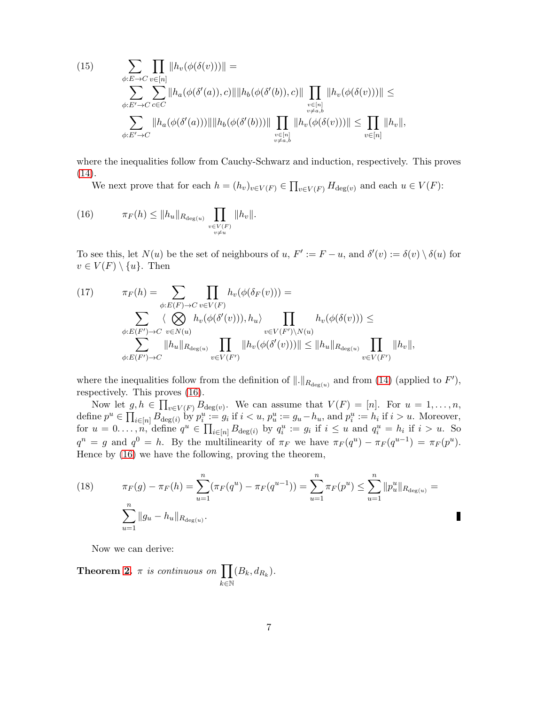(15) 
$$
\sum_{\phi:E \to C} \prod_{v \in [n]} ||h_v(\phi(\delta(v)))|| =
$$

$$
\sum_{\phi:E' \to C} \sum_{c \in C} ||h_a(\phi(\delta'(a)), c)|| ||h_b(\phi(\delta'(b)), c)|| \prod_{\substack{v \in [n] \\ v \neq a,b}} ||h_v(\phi(\delta(v)))|| \le \sum_{\phi:E' \to C} ||h_a(\phi(\delta'(a)))|| ||h_b(\phi(\delta'(b)))|| \prod_{\substack{v \in [n] \\ v \neq a,b}} ||h_v(\phi(\delta(v)))|| \le \prod_{v \in [n]} ||h_v||,
$$

where the inequalities follow from Cauchy-Schwarz and induction, respectively. This proves [\(14\)](#page-5-1).

We next prove that for each  $h = (h_v)_{v \in V(F)} \in \prod_{v \in V(F)} H_{\text{deg}(v)}$  and each  $u \in V(F)$ :

(16) 
$$
\pi_F(h) \leq ||h_u||_{R_{\deg(u)}} \prod_{\substack{v \in V(F) \\ v \neq u}} ||h_v||.
$$

To see this, let  $N(u)$  be the set of neighbours of  $u, F' := F - u$ , and  $\delta'(v) := \delta(v) \setminus \delta(u)$  for  $v \in V(F) \setminus \{u\}.$  Then

(17) 
$$
\pi_F(h) = \sum_{\phi: E(F) \to C} \prod_{v \in V(F)} h_v(\phi(\delta_F(v))) =
$$

$$
\sum_{\phi: E(F') \to C} \langle \bigotimes_{v \in N(u)} h_v(\phi(\delta'(v))), h_u \rangle \prod_{v \in V(F') \setminus N(u)} h_v(\phi(\delta(v))) \le
$$

$$
\sum_{\phi: E(F') \to C} ||h_u||_{R_{\deg(u)}} \prod_{v \in V(F')} ||h_v(\phi(\delta'(v)))|| \le ||h_u||_{R_{\deg(u)}} \prod_{v \in V(F')} ||h_v||,
$$

where the inequalities follow from the definition of  $\|.\|_{R_{\deg(u)}}$  and from [\(14\)](#page-5-1) (applied to  $F'$ ), respectively. This proves [\(16\)](#page-6-0).

Now let  $g, h \in \prod_{v \in V(F)} B_{\deg(v)}$ . We can assume that  $V(F) = [n]$ . For  $u = 1, \ldots, n$ , define  $p^u \in \prod_{i \in [n]} B_{\text{deg}(i)}$  by  $p_i^u := g_i$  if  $i < u$ ,  $p_u^u := g_u - h_u$ , and  $p_i^u := h_i$  if  $i > u$ . Moreover, for  $u = 0, \ldots, n$ , define  $q^u \in \prod_{i \in [n]} B_{\deg(i)}$  by  $q_i^u := g_i$  if  $i \leq u$  and  $q_i^u = h_i$  if  $i > u$ . So  $q^n = g$  and  $q^0 = h$ . By the multilinearity of  $\pi_F$  we have  $\pi_F(q^u) - \pi_F(q^{u-1}) = \pi_F(p^u)$ . Hence by [\(16\)](#page-6-0) we have the following, proving the theorem,

(18) 
$$
\pi_F(g) - \pi_F(h) = \sum_{u=1}^n (\pi_F(q^u) - \pi_F(q^{u-1})) = \sum_{u=1}^n \pi_F(p^u) \le \sum_{u=1}^n ||p_u^u||_{R_{\deg(u)}} = \sum_{u=1}^n ||g_u - h_u||_{R_{\deg(u)}}.
$$

<span id="page-6-0"></span> $\blacksquare$ 

Now we can derive:

**Theorem [2.](#page-3-3)**  $\pi$  *is continuous on*  $\prod$  $k \in \mathbb{N}$  $(B_k, d_{R_k}).$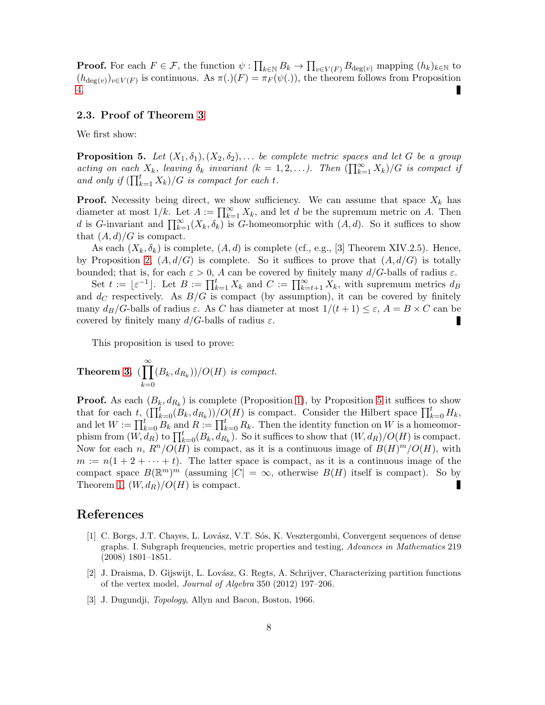**Proof.** For each  $F \in \mathcal{F}$ , the function  $\psi : \prod_{k \in \mathbb{N}} B_k \to \prod_{v \in V(F)} B_{\deg(v)}$  mapping  $(h_k)_{k \in \mathbb{N}}$  to  $(h_{\deg(v)})_{v\in V(F)}$  is continuous. As  $\pi(.)(F) = \pi_F(\psi(.))$ , the theorem follows from Proposition [4.](#page-5-3)

#### <span id="page-7-0"></span>2.3. Proof of Theorem [3](#page-3-1)

<span id="page-7-1"></span>We first show:

**Proposition 5.** Let  $(X_1, \delta_1), (X_2, \delta_2), \ldots$  be complete metric spaces and let G be a group *acting on each*  $X_k$ *, leaving*  $\delta_k$  *invariant*  $(k = 1, 2, ...)$ *. Then*  $(\prod_{k=1}^{\infty} X_k)/G$  *is compact if* and only if  $(\prod_{k=1}^{t} X_k)/G$  is compact for each t.

**Proof.** Necessity being direct, we show sufficiency. We can assume that space  $X_k$  has diameter at most  $1/k$ . Let  $A := \prod_{k=1}^{\infty} X_k$ , and let d be the supremum metric on A. Then d is G-invariant and  $\prod_{k=1}^{\infty}(X_k, \delta_k)$  is G-homeomorphic with  $(A, d)$ . So it suffices to show that  $(A, d)/G$  is compact.

As each  $(X_k, \delta_k)$  is complete,  $(A, d)$  is complete (cf., e.g., [3] Theorem XIV.2.5). Hence, by Proposition [2,](#page-4-1)  $(A, d/G)$  is complete. So it suffices to prove that  $(A, d/G)$  is totally bounded; that is, for each  $\varepsilon > 0$ , A can be covered by finitely many  $d/G$ -balls of radius  $\varepsilon$ .

Set  $t := \lfloor \varepsilon^{-1} \rfloor$ . Let  $B := \prod_{k=1}^t X_k$  and  $C := \prod_{k=t+1}^\infty X_k$ , with supremum metrics  $d_B$ and  $d_C$  respectively. As  $B/G$  is compact (by assumption), it can be covered by finitely many  $d_B/G$ -balls of radius  $\varepsilon$ . As C has diameter at most  $1/(t+1) \leq \varepsilon$ ,  $A = B \times C$  can be covered by finitely many  $d/G$ -balls of radius  $\varepsilon$ .

This proposition is used to prove:

**Theorem 3.** 
$$
(\prod_{k=0}^{\infty} (B_k, d_{R_k}))/O(H)
$$
 is compact.

**Proof.** As each  $(B_k, d_{R_k})$  is complete (Proposition [1\)](#page-3-2), by Proposition [5](#page-7-1) it suffices to show that for each t,  $(\prod_{k=0}^t (B_k, d_{R_k}))/O(H)$  is compact. Consider the Hilbert space  $\prod_{k=0}^t H_k$ , and let  $W := \prod_{k=0}^{t} B_k$  and  $R := \prod_{k=0}^{t} R_k$ . Then the identity function on W is a homeomorphism from  $(W, d_R)$  to  $\prod_{k=0}^{t} (B_k, d_{R_k})$ . So it suffices to show that  $(W, d_R)/O(H)$  is compact. Now for each n,  $R^n/O(H)$  is compact, as it is a continuous image of  $B(H)^m/O(H)$ , with  $m := n(1 + 2 + \cdots + t)$ . The latter space is compact, as it is a continuous image of the compact space  $B(\mathbb{R}^m)^m$  (assuming  $|C| = \infty$ , otherwise  $B(H)$  itself is compact). So by Theorem [1,](#page-1-1)  $(W, d_R)/O(H)$  is compact.

### References

- [1] C. Borgs, J.T. Chayes, L. Lovász, V.T. Sós, K. Vesztergombi, Convergent sequences of dense graphs. I. Subgraph frequencies, metric properties and testing, *Advances in Mathematics* 219 (2008) 1801–1851.
- [2] J. Draisma, D. Gijswijt, L. Lov´asz, G. Regts, A. Schrijver, Characterizing partition functions of the vertex model, *Journal of Algebra* 350 (2012) 197–206.
- [3] J. Dugundji, *Topology*, Allyn and Bacon, Boston, 1966.